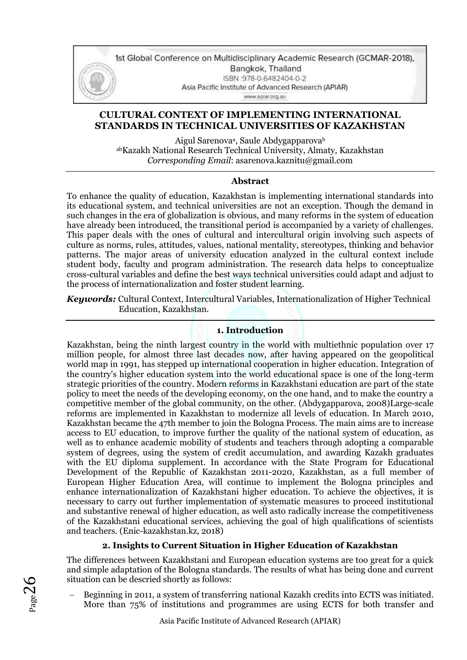

1st Global Conference on Multidisciplinary Academic Research (GCMAR-2018), Bangkok, Thailand ISBN:978-0-6482404-0-2 Asia Pacific Institute of Advanced Research (APIAR) www.aplar.org.au

# **CULTURAL CONTEXT OF IMPLEMENTING INTERNATIONAL STANDARDS IN TECHNICAL UNIVERSITIES OF KAZAKHSTAN**

Aigul Sarenova<sup>a</sup>, Saule Abdygapparovab abKazakh National Research Technical University, Almaty, Kazakhstan *Corresponding Email*: asarenova.kaznitu@gmail.com

## **Abstract**

To enhance the quality of education, Kazakhstan is implementing international standards into its educational system, and technical universities are not an exception. Though the demand in such changes in the era of globalization is obvious, and many reforms in the system of education have already been introduced, the transitional period is accompanied by a variety of challenges. This paper deals with the ones of cultural and intercultural origin involving such aspects of culture as norms, rules, attitudes, values, national mentality, stereotypes, thinking and behavior patterns. The major areas of university education analyzed in the cultural context include student body, faculty and program administration. The research data helps to conceptualize cross-cultural variables and define the best ways technical universities could adapt and adjust to the process of internationalization and foster student learning.

*Keywords:* Cultural Context, Intercultural Variables, Internationalization of Higher Technical Education, Kazakhstan.

## **1. Introduction**

Kazakhstan, being the ninth largest country in the world with multiethnic population over 17 million people, for almost three last decades now, after having appeared on the geopolitical world map in 1991, has stepped up international cooperation in higher education. Integration of the country's higher education system into the world educational space is one of the long-term strategic priorities of the country. Modern reforms in Kazakhstani education are part of the state policy to meet the needs of the developing economy, on the one hand, and to make the country a competitive member of the global community, on the other. (Abdygapparova, 2008)Large-scale reforms are implemented in Kazakhstan to modernize all levels of education. In March 2010, Kazakhstan became the 47th member to join the Bologna Process. The main aims are to increase access to EU education, to improve further the quality of the national system of education, as well as to enhance academic mobility of students and teachers through adopting a comparable system of degrees, using the system of credit accumulation, and awarding Kazakh graduates with the EU diploma supplement. In accordance with the State Program for Educational Development of the Republic of Kazakhstan 2011-2020, Kazakhstan, as a full member of European Higher Education Area, will continue to implement the Bologna principles and enhance internationalization of Kazakhstani higher education. To achieve the objectives, it is necessary to carry out further implementation of systematic measures to proceed institutional and substantive renewal of higher education, as well asto radically increase the competitiveness of the Kazakhstani educational services, achieving the goal of high qualifications of scientists and teachers. (Enic-kazakhstan.kz, 2018)

# **2. Insights to Current Situation in Higher Education of Kazakhstan**

The differences between Kazakhstani and European education systems are too great for a quick and simple adaptation of the Bologna standards. The results of what has being done and current situation can be descried shortly as follows:

− Beginning in 2011, a system of transferring national Kazakh credits into ECTS was initiated. More than 75% of institutions and programmes are using ECTS for both transfer and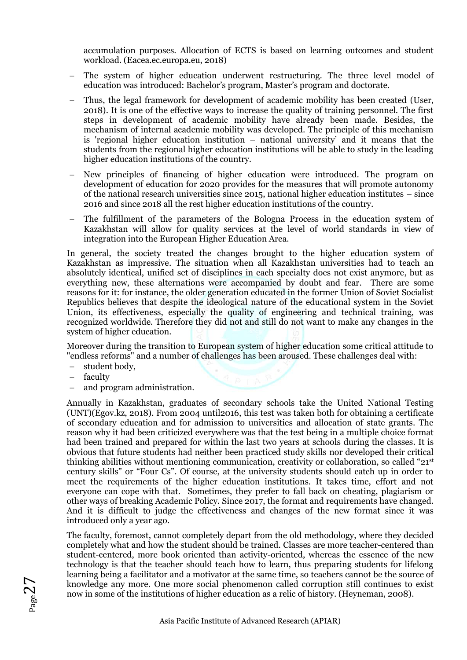accumulation purposes. Allocation of ECTS is based on learning outcomes and student workload. (Eacea.ec.europa.eu, 2018)

- − The system of higher education underwent restructuring. The three level model of education was introduced: Bachelor's program, Master's program and doctorate.
- − Thus, the legal framework for development of academic mobility has been created (User, 2018). It is one of the effective ways to increase the quality of training personnel. The first steps in development of academic mobility have already been made. Besides, the mechanism of internal academic mobility was developed. The principle of this mechanism is 'regional higher education institution – national university' and it means that the students from the regional higher education institutions will be able to study in the leading higher education institutions of the country.
- New principles of financing of higher education were introduced. The program on development of education for 2020 provides for the measures that will promote autonomy of the national research universities since 2015, national higher education institutes – since 2016 and since 2018 all the rest higher education institutions of the country.
- The fulfillment of the parameters of the Bologna Process in the education system of Kazakhstan will allow for quality services at the level of world standards in view of integration into the European Higher Education Area.

In general, the society treated the changes brought to the higher education system of Kazakhstan as impressive. The situation when all Kazakhstan universities had to teach an absolutely identical, unified set of disciplines in each specialty does not exist anymore, but as everything new, these alternations were accompanied by doubt and fear. There are some reasons for it: for instance, the older generation educated in the former Union of Soviet Socialist Republics believes that despite the ideological nature of the educational system in the Soviet Union, its effectiveness, especially the quality of engineering and technical training, was recognized worldwide. Therefore they did not and still do not want to make any changes in the system of higher education.

Moreover during the transition to European system of higher education some critical attitude to "endless reforms" and a number of challenges has been aroused. These challenges deal with:

- − student body,
- − faculty

 $Page2'$ 

and program administration.

Annually in Kazakhstan, graduates of secondary schools take the United National Testing (UNT)(Egov.kz, 2018). From 2004 until2016, this test was taken both for obtaining a certificate of secondary education and for admission to universities and allocation of state grants. The reason why it had been criticized everywhere was that the test being in a multiple choice format had been trained and prepared for within the last two years at schools during the classes. It is obvious that future students had neither been practiced study skills nor developed their critical thinking abilities without mentioning communication, creativity or collaboration, so called "21st century skills" or "Four Cs". Of course, at the university students should catch up in order to meet the requirements of the higher education institutions. It takes time, effort and not everyone can cope with that. Sometimes, they prefer to fall back on cheating, plagiarism or other ways of breaking Academic Policy. Since 2017, the format and requirements have changed. And it is difficult to judge the effectiveness and changes of the new format since it was introduced only a year ago.

The faculty, foremost, cannot completely depart from the old methodology, where they decided completely what and how the student should be trained. Classes are more teacher-centered than student-centered, more book oriented than activity-oriented, whereas the essence of the new technology is that the teacher should teach how to learn, thus preparing students for lifelong learning being a facilitator and a motivator at the same time, so teachers cannot be the source of knowledge any more. One more social phenomenon called corruption still continues to exist now in some of the institutions of higher education as a relic of history. (Heyneman, 2008).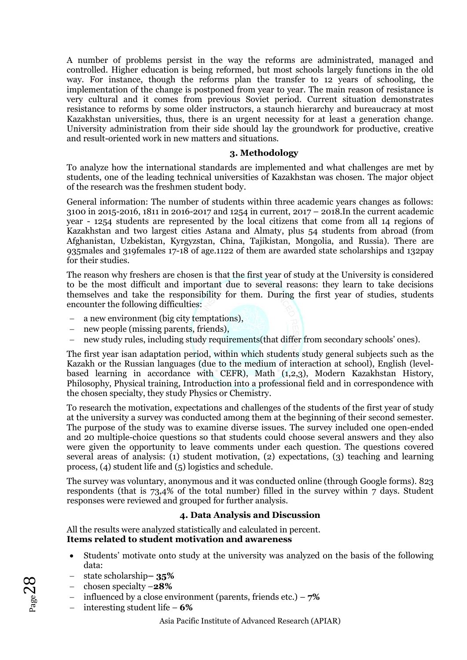A number of problems persist in the way the reforms are administrated, managed and controlled. Higher education is being reformed, but most schools largely functions in the old way. For instance, though the reforms plan the transfer to 12 years of schooling, the implementation of the change is postponed from year to year. The main reason of resistance is very cultural and it comes from previous Soviet period. Current situation demonstrates resistance to reforms by some older instructors, a staunch hierarchy and bureaucracy at most Kazakhstan universities, thus, there is an urgent necessity for at least a generation change. University administration from their side should lay the groundwork for productive, creative and result-oriented work in new matters and situations.

#### **3. Methodology**

To analyze how the international standards are implemented and what challenges are met by students, one of the leading technical universities of Kazakhstan was chosen. The major object of the research was the freshmen student body.

General information: The number of students within three academic years changes as follows: 3100 in 2015-2016, 1811 in 2016-2017 and 1254 in current, 2017 – 2018.In the current academic year - 1254 students are represented by the local citizens that come from all 14 regions of Kazakhstan and two largest cities Astana and Almaty, plus 54 students from abroad (from Afghanistan, Uzbekistan, Kyrgyzstan, China, Tajikistan, Mongolia, and Russia). There are 935males and 319females 17-18 of age.1122 of them are awarded state scholarships and 132pay for their studies.

The reason why freshers are chosen is that the first year of study at the University is considered to be the most difficult and important due to several reasons: they learn to take decisions themselves and take the responsibility for them. During the first year of studies, students encounter the following difficulties:

- − a new environment (big city temptations),
- − new people (missing parents, friends),
- − new study rules, including study requirements(that differ from secondary schools' ones).

The first year isan adaptation period, within which students study general subjects such as the Kazakh or the Russian languages (due to the medium of interaction at school), English (levelbased learning in accordance with CEFR), Math (1,2,3), Modern Kazakhstan History, Philosophy, Physical training, Introduction into a professional field and in correspondence with the chosen specialty, they study Physics or Chemistry.

To research the motivation, expectations and challenges of the students of the first year of study at the university a survey was conducted among them at the beginning of their second semester. The purpose of the study was to examine diverse issues. The survey included one open-ended and 20 multiple-choice questions so that students could choose several answers and they also were given the opportunity to leave comments under each question. The questions covered several areas of analysis: (1) student motivation, (2) expectations, (3) teaching and learning process, (4) student life and (5) logistics and schedule.

The survey was voluntary, anonymous and it was conducted online (through Google forms). 823 respondents (that is 73,4% of the total number) filled in the survey within 7 days. Student responses were reviewed and grouped for further analysis.

# **4. Data Analysis and Discussion**

All the results were analyzed statistically and calculated in percent. **Items related to student motivation and awareness**

- Students' motivate onto study at the university was analyzed on the basis of the following data:
- − state scholarship**– 35%**
- − chosen specialty –**28%**
- − influenced by a close environment (parents, friends etc.) **7%**
- − interesting student life **6%**

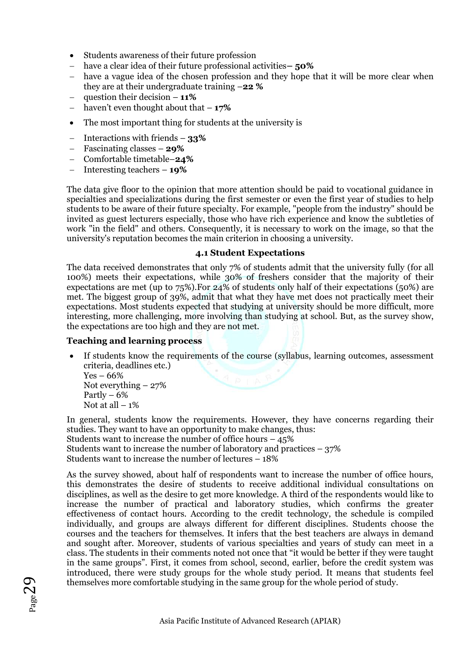- Students awareness of their future profession
- − have a clear idea of their future professional activities**– 50%**
- − have a vague idea of the chosen profession and they hope that it will be more clear when they are at their undergraduate training –**22 %**
- − question their decision **11%**
- − haven't even thought about that **17%**
- The most important thing for students at the university is
- − Interactions with friends **33%**
- − Fascinating classes **29%**
- − Comfortable timetable–**24%**
- − Interesting teachers **19%**

The data give floor to the opinion that more attention should be paid to vocational guidance in specialties and specializations during the first semester or even the first year of studies to help students to be aware of their future specialty. For example, "people from the industry" should be invited as guest lecturers especially, those who have rich experience and know the subtleties of work "in the field" and others. Consequently, it is necessary to work on the image, so that the university's reputation becomes the main criterion in choosing a university.

## **4.1 Student Expectations**

The data received demonstrates that only 7% of students admit that the university fully (for all 100%) meets their expectations, while 30% of freshers consider that the majority of their expectations are met (up to 75%).For 24% of students only half of their expectations (50%) are met. The biggest group of 39%, admit that what they have met does not practically meet their expectations. Most students expected that studying at university should be more difficult, more interesting, more challenging, more involving than studying at school. But, as the survey show, the expectations are too high and they are not met.

# **Teaching and learning process**

If students know the requirements of the course (syllabus, learning outcomes, assessment criteria, deadlines etc.)

 $Yes - 66\%$ Not everything – 27% Partly  $-6%$ Not at all  $-1\%$ 

In general, students know the requirements. However, they have concerns regarding their studies. They want to have an opportunity to make changes, thus:

Students want to increase the number of office hours  $-45\%$ Students want to increase the number of laboratory and practices  $-37\%$ Students want to increase the number of lectures – 18%

As the survey showed, about half of respondents want to increase the number of office hours, this demonstrates the desire of students to receive additional individual consultations on disciplines, as well as the desire to get more knowledge. A third of the respondents would like to increase the number of practical and laboratory studies, which confirms the greater effectiveness of contact hours. According to the credit technology, the schedule is compiled individually, and groups are always different for different disciplines. Students choose the courses and the teachers for themselves. It infers that the best teachers are always in demand and sought after. Moreover, students of various specialties and years of study can meet in a class. The students in their comments noted not once that "it would be better if they were taught in the same groups". First, it comes from school, second, earlier, before the credit system was introduced, there were study groups for the whole study period. It means that students feel themselves more comfortable studying in the same group for the whole period of study.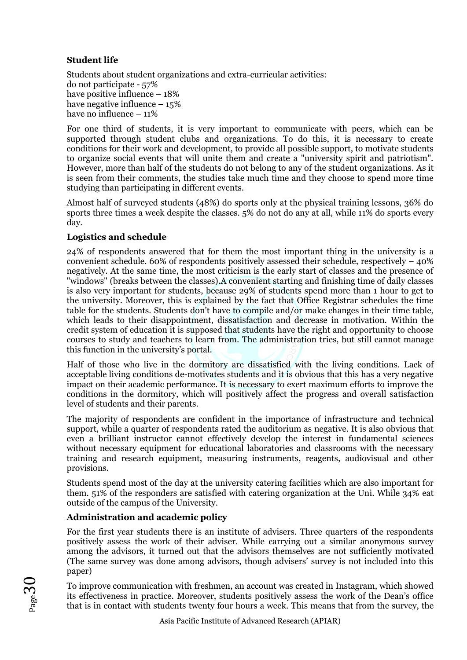# **Student life**

Students about student organizations and extra-curricular activities: do not participate - 57% have positive influence – 18% have negative influence  $-15\%$ have no influence -  $11\%$ 

For one third of students, it is very important to communicate with peers, which can be supported through student clubs and organizations. To do this, it is necessary to create conditions for their work and development, to provide all possible support, to motivate students to organize social events that will unite them and create a "university spirit and patriotism". However, more than half of the students do not belong to any of the student organizations. As it is seen from their comments, the studies take much time and they choose to spend more time studying than participating in different events.

Almost half of surveyed students (48%) do sports only at the physical training lessons, 36% do sports three times a week despite the classes. 5% do not do any at all, while 11% do sports every day.

## **Logistics and schedule**

24% of respondents answered that for them the most important thing in the university is a convenient schedule. 60% of respondents positively assessed their schedule, respectively – 40% negatively. At the same time, the most criticism is the early start of classes and the presence of "windows" (breaks between the classes).A convenient starting and finishing time of daily classes is also very important for students, because 29% of students spend more than 1 hour to get to the university. Moreover, this is explained by the fact that Office Registrar schedules the time table for the students. Students don't have to compile and/or make changes in their time table, which leads to their disappointment, dissatisfaction and decrease in motivation. Within the credit system of education it is supposed that students have the right and opportunity to choose courses to study and teachers to learn from. The administration tries, but still cannot manage this function in the university's portal.

Half of those who live in the dormitory are dissatisfied with the living conditions. Lack of acceptable living conditions de-motivates students and it is obvious that this has a very negative impact on their academic performance. It is necessary to exert maximum efforts to improve the conditions in the dormitory, which will positively affect the progress and overall satisfaction level of students and their parents.

The majority of respondents are confident in the importance of infrastructure and technical support, while a quarter of respondents rated the auditorium as negative. It is also obvious that even a brilliant instructor cannot effectively develop the interest in fundamental sciences without necessary equipment for educational laboratories and classrooms with the necessary training and research equipment, measuring instruments, reagents, audiovisual and other provisions.

Students spend most of the day at the university catering facilities which are also important for them. 51% of the responders are satisfied with catering organization at the Uni. While 34% eat outside of the campus of the University.

## **Administration and academic policy**

For the first year students there is an institute of advisers. Three quarters of the respondents positively assess the work of their adviser. While carrying out a similar anonymous survey among the advisors, it turned out that the advisors themselves are not sufficiently motivated (The same survey was done among advisors, though advisers' survey is not included into this paper)

To improve communication with freshmen, an account was created in Instagram, which showed its effectiveness in practice. Moreover, students positively assess the work of the Dean's office that is in contact with students twenty four hours a week. This means that from the survey, the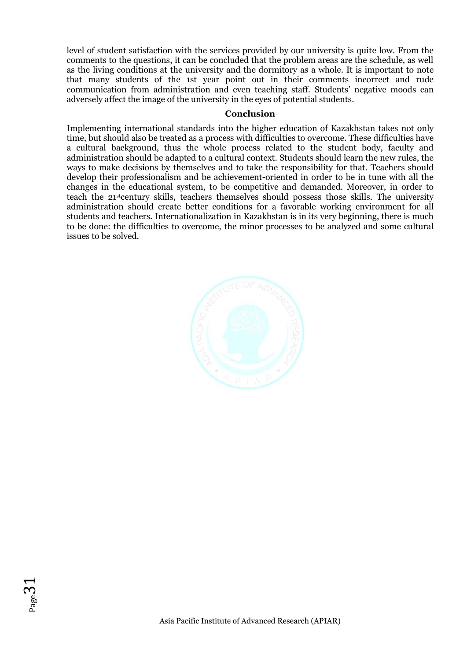level of student satisfaction with the services provided by our university is quite low. From the comments to the questions, it can be concluded that the problem areas are the schedule, as well as the living conditions at the university and the dormitory as a whole. It is important to note that many students of the 1st year point out in their comments incorrect and rude communication from administration and even teaching staff. Students' negative moods can adversely affect the image of the university in the eyes of potential students.

#### **Conclusion**

Implementing international standards into the higher education of Kazakhstan takes not only time, but should also be treated as a process with difficulties to overcome. These difficulties have a cultural background, thus the whole process related to the student body, faculty and administration should be adapted to a cultural context. Students should learn the new rules, the ways to make decisions by themselves and to take the responsibility for that. Teachers should develop their professionalism and be achievement-oriented in order to be in tune with all the changes in the educational system, to be competitive and demanded. Moreover, in order to teach the 21stcentury skills, teachers themselves should possess those skills. The university administration should create better conditions for a favorable working environment for all students and teachers. Internationalization in Kazakhstan is in its very beginning, there is much to be done: the difficulties to overcome, the minor processes to be analyzed and some cultural issues to be solved.